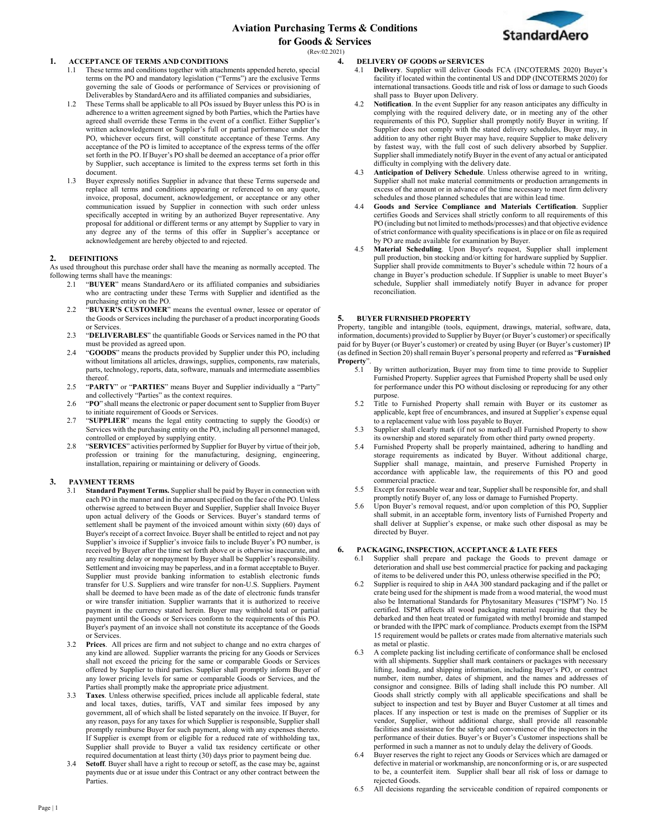

# **1. ACCEPTANCE OF TERMS AND CONDITIONS**

- 1.1 These terms and conditions together with attachments appended hereto, special terms on the PO and mandatory legislation ("Terms") are the exclusive Terms governing the sale of Goods or performance of Services or provisioning of Deliverables by StandardAero and its affiliated companies and subsidiaries,
- 1.2 These Terms shall be applicable to all POs issued by Buyer unless this PO is in adherence to a written agreement signed by both Parties, which the Parties have agreed shall override these Terms in the event of a conflict. Either Supplier's written acknowledgement or Supplier's full or partial performance under the PO, whichever occurs first, will constitute acceptance of these Terms. Any acceptance of the PO is limited to acceptance of the express terms of the offer set forth in the PO. If Buyer's PO shall be deemed an acceptance of a prior offer by Supplier, such acceptance is limited to the express terms set forth in this document.
- 1.3 Buyer expressly notifies Supplier in advance that these Terms supersede and replace all terms and conditions appearing or referenced to on any quote, invoice, proposal, document, acknowledgement, or acceptance or any other communication issued by Supplier in connection with such order unless specifically accepted in writing by an authorized Buyer representative. Any proposal for additional or different terms or any attempt by Supplier to vary in any degree any of the terms of this offer in Supplier's acceptance or acknowledgement are hereby objected to and rejected.

# **2. DEFINITIONS**

As used throughout this purchase order shall have the meaning as normally accepted. The following terms shall have the meanings:

- 2.1 "**BUYER**" means StandardAero or its affiliated companies and subsidiaries who are contracting under these Terms with Supplier and identified as the purchasing entity on the PO.
- 2.2 "**BUYER'S CUSTOMER**" means the eventual owner, lessee or operator of the Goods or Services including the purchaser of a product incorporating Goods or Services.
- 2.3 "**DELIVERABLES**" the quantifiable Goods or Services named in the PO that must be provided as agreed upon.
- 2.4 "**GOODS**" means the products provided by Supplier under this PO, including without limitations all articles, drawings, supplies, components, raw materials, parts, technology, reports, data, software, manuals and intermediate assemblies thereof.
- 2.5 "**PARTY**" or "**PARTIES**" means Buyer and Supplier individually a "Party" and collectively "Parties" as the context requires.
- 2.6 "**PO**" shall means the electronic or paper document sent to Supplier from Buyer to initiate requirement of Goods or Services.
- 2.7 "**SUPPLIER**" means the legal entity contracting to supply the Good(s) or Services with the purchasing entity on the PO, including all personnel managed, controlled or employed by supplying entity.
- 2.8 "**SERVICES**" activities performed by Supplier for Buyer by virtue of their job, profession or training for the manufacturing, designing, engineering, installation, repairing or maintaining or delivery of Goods.

# **3. PAYMENT TERMS**

- Standard Payment Terms. Supplier shall be paid by Buyer in connection with each PO in the manner and in the amount specified on the face of the PO. Unless otherwise agreed to between Buyer and Supplier, Supplier shall Invoice Buyer upon actual delivery of the Goods or Services. Buyer's standard terms of settlement shall be payment of the invoiced amount within sixty (60) days of Buyer's receipt of a correct Invoice. Buyer shall be entitled to reject and not pay Supplier's invoice if Supplier's invoice fails to include Buyer's PO number, is received by Buyer after the time set forth above or is otherwise inaccurate, and any resulting delay or nonpayment by Buyer shall be Supplier's responsibility. Settlement and invoicing may be paperless, and in a format acceptable to Buyer. Supplier must provide banking information to establish electronic funds transfer for U.S. Suppliers and wire transfer for non-U.S. Suppliers. Payment shall be deemed to have been made as of the date of electronic funds transfer or wire transfer initiation. Supplier warrants that it is authorized to receive payment in the currency stated herein. Buyer may withhold total or partial payment until the Goods or Services conform to the requirements of this PO. Buyer's payment of an invoice shall not constitute its acceptance of the Goods or Services.
- Prices. All prices are firm and not subject to change and no extra charges of any kind are allowed. Supplier warrants the pricing for any Goods or Services shall not exceed the pricing for the same or comparable Goods or Services offered by Supplier to third parties. Supplier shall promptly inform Buyer of any lower pricing levels for same or comparable Goods or Services, and the Parties shall promptly make the appropriate price adjustment.
- 3.3 **Taxes**. Unless otherwise specified, prices include all applicable federal, state and local taxes, duties, tariffs, VAT and similar fees imposed by any government, all of which shall be listed separately on the invoice. If Buyer, for any reason, pays for any taxes for which Supplier is responsible, Supplier shall promptly reimburse Buyer for such payment, along with any expenses thereto. If Supplier is exempt from or eligible for a reduced rate of withholding tax, Supplier shall provide to Buyer a valid tax residency certificate or other required documentation at least thirty (30) days prior to payment being due.
- 3.4 **Setoff**. Buyer shall have a right to recoup or setoff, as the case may be, against payments due or at issue under this Contract or any other contract between the Parties.

## **4. DELIVERY OF GOODS or SERVICES**

- 4.1 **Delivery**. Supplier will deliver Goods FCA (INCOTERMS 2020) Buyer's facility if located within the continental US and DDP (INCOTERMS 2020) for international transactions. Goods title and risk of loss or damage to such Goods shall pass to Buyer upon Delivery.
- Notification. In the event Supplier for any reason anticipates any difficulty in complying with the required delivery date, or in meeting any of the other requirements of this PO, Supplier shall promptly notify Buyer in writing. If Supplier does not comply with the stated delivery schedules, Buyer may, in addition to any other right Buyer may have, require Supplier to make delivery by fastest way, with the full cost of such delivery absorbed by Supplier. Supplier shall immediately notify Buyer in the event of any actual or anticipated difficulty in complying with the delivery date.
- 4.3 **Anticipation of Delivery Schedule**. Unless otherwise agreed to in writing, Supplier shall not make material commitments or production arrangements in excess of the amount or in advance of the time necessary to meet firm delivery schedules and those planned schedules that are within lead time.
- 4.4 **Goods and Service Compliance and Materials Certification**. Supplier certifies Goods and Services shall strictly conform to all requirements of this PO (including but not limited to methods/processes) and that objective evidence of strict conformance with quality specifications is in place or on file as required by PO are made available for examination by Buyer.
- 4.5 **Material Scheduling**. Upon Buyer's request, Supplier shall implement pull production, bin stocking and/or kitting for hardware supplied by Supplier. Supplier shall provide commitments to Buyer's schedule within 72 hours of a change in Buyer's production schedule. If Supplier is unable to meet Buyer's schedule, Supplier shall immediately notify Buyer in advance for proper reconciliation.

# **5. BUYER FURNISHED PROPERTY**

Property, tangible and intangible (tools, equipment, drawings, material, software, data, information, documents) provided to Supplier by Buyer (or Buyer's customer) or specifically paid for by Buyer (or Buyer's customer) or created by using Buyer (or Buyer's customer) IP (as defined in Section 20) shall remain Buyer's personal property and referred as "**Furnished**  Property".

- 5.1 By written authorization, Buyer may from time to time provide to Supplier Furnished Property. Supplier agrees that Furnished Property shall be used only for performance under this PO without disclosing or reproducing for any other purpose.
- 5.2 Title to Furnished Property shall remain with Buyer or its customer as applicable, kept free of encumbrances, and insured at Supplier's expense equal to a replacement value with loss payable to Buyer.
- 5.3 Supplier shall clearly mark (if not so marked) all Furnished Property to show its ownership and stored separately from other third party owned property.
- 5.4 Furnished Property shall be properly maintained, adhering to handling and storage requirements as indicated by Buyer. Without additional charge, Supplier shall manage, maintain, and preserve Furnished Property in accordance with applicable law, the requirements of this PO and good commercial practice.
- 5.5 Except for reasonable wear and tear, Supplier shall be responsible for, and shall promptly notify Buyer of, any loss or damage to Furnished Property.
- Upon Buyer's removal request, and/or upon completion of this PO, Supplier shall submit, in an acceptable form, inventory lists of Furnished Property and shall deliver at Supplier's expense, or make such other disposal as may be directed by Buyer.

# **6. PACKAGING, INSPECTION, ACCEPTANCE & LATE FEES**

- Supplier shall prepare and package the Goods to prevent damage or deterioration and shall use best commercial practice for packing and packaging of items to be delivered under this PO, unless otherwise specified in the PO;
- 6.2 Supplier is required to ship in A4A 300 standard packaging and if the pallet or crate being used for the shipment is made from a wood material, the wood must also be International Standards for Phytosanitary Measures ("ISPM") No. 15 certified. ISPM affects all wood packaging material requiring that they be debarked and then heat treated or fumigated with methyl bromide and stamped or branded with the IPPC mark of compliance. Products exempt from the ISPM 15 requirement would be pallets or crates made from alternative materials such as metal or plastic.
- 6.3 A complete packing list including certificate of conformance shall be enclosed with all shipments. Supplier shall mark containers or packages with necessary lifting, loading, and shipping information, including Buyer's PO, or contract number, item number, dates of shipment, and the names and addresses of consignor and consignee. Bills of lading shall include this PO number. All Goods shall strictly comply with all applicable specifications and shall be subject to inspection and test by Buyer and Buyer Customer at all times and places. If any inspection or test is made on the premises of Supplier or its vendor, Supplier, without additional charge, shall provide all reasonable facilities and assistance for the safety and convenience of the inspectors in the performance of their duties. Buyer's or Buyer's Customer inspections shall be performed in such a manner as not to unduly delay the delivery of Goods.
- 6.4 Buyer reserves the right to reject any Goods or Services which are damaged or defective in material or workmanship, are nonconforming or is, or are suspected to be, a counterfeit item. Supplier shall bear all risk of loss or damage to rejected Goods.
- 6.5 All decisions regarding the serviceable condition of repaired components or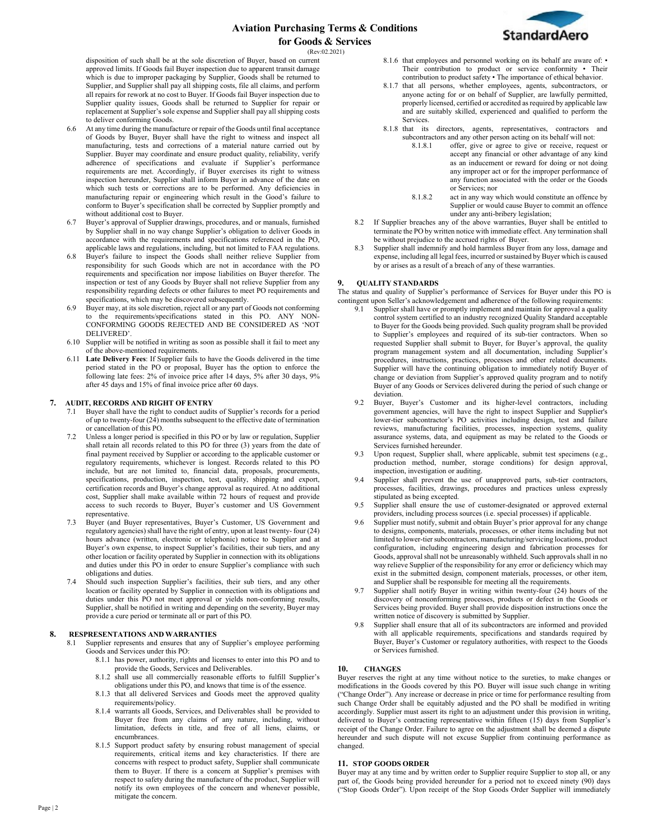

disposition of such shall be at the sole discretion of Buyer, based on current approved limits. If Goods fail Buyer inspection due to apparent transit damage which is due to improper packaging by Supplier, Goods shall be returned to Supplier, and Supplier shall pay all shipping costs, file all claims, and perform all repairs for rework at no cost to Buyer. If Goods fail Buyer inspection due to Supplier quality issues, Goods shall be returned to Supplier for repair or replacement at Supplier's sole expense and Supplier shall pay all shipping costs to deliver conforming Goods.

- 6.6 At any time during the manufacture or repair of the Goods until final acceptance of Goods by Buyer, Buyer shall have the right to witness and inspect all manufacturing, tests and corrections of a material nature carried out by Supplier. Buyer may coordinate and ensure product quality, reliability, verify adherence of specifications and evaluate if Supplier's performance requirements are met. Accordingly, if Buyer exercises its right to witness inspection hereunder, Supplier shall inform Buyer in advance of the date on which such tests or corrections are to be performed. Any deficiencies in manufacturing repair or engineering which result in the Good's failure to conform to Buyer's specification shall be corrected by Supplier promptly and without additional cost to Buyer.
- 6.7 Buyer's approval of Supplier drawings, procedures, and or manuals, furnished by Supplier shall in no way change Supplier's obligation to deliver Goods in accordance with the requirements and specifications referenced in the PO, applicable laws and regulations, including, but not limited to FAA regulations.
- 6.8 Buyer's failure to inspect the Goods shall neither relieve Supplier from responsibility for such Goods which are not in accordance with the PO requirements and specification nor impose liabilities on Buyer therefor. The inspection or test of any Goods by Buyer shall not relieve Supplier from any responsibility regarding defects or other failures to meet PO requirements and specifications, which may be discovered subsequently.
- Buyer may, at its sole discretion, reject all or any part of Goods not conforming to the requirements/specifications stated in this PO. ANY NON-CONFORMING GOODS REJECTED AND BE CONSIDERED AS 'NOT DELIVERED'.
- 6.10 Supplier will be notified in writing as soon as possible shall it fail to meet any of the above-mentioned requirements.
- 6.11 **Late Delivery Fees**: If Supplier fails to have the Goods delivered in the time period stated in the PO or proposal, Buyer has the option to enforce the following late fees: 2% of invoice price after 14 days, 5% after 30 days, 9% after 45 days and 15% of final invoice price after 60 days.

#### **7. AUDIT, RECORDS AND RIGHT OFENTRY**

- Buyer shall have the right to conduct audits of Supplier's records for a period of up to twenty-four (24) months subsequent to the effective date of termination or cancellation of this PO.
- Unless a longer period is specified in this PO or by law or regulation, Supplier shall retain all records related to this PO for three (3) years from the date of final payment received by Supplier or according to the applicable customer or regulatory requirements, whichever is longest. Records related to this PO include, but are not limited to, financial data, proposals, procurements, specifications, production, inspection, test, quality, shipping and export, certification records and Buyer's change approval as required. At no additional cost, Supplier shall make available within 72 hours of request and provide access to such records to Buyer, Buyer's customer and US Government representative.
- 7.3 Buyer (and Buyer representatives, Buyer's Customer, US Government and regulatory agencies) shall have the right of entry, upon at least twenty- four (24) hours advance (written, electronic or telephonic) notice to Supplier and at Buyer's own expense, to inspect Supplier's facilities, their sub tiers, and any other location or facility operated by Supplier in connection with its obligations and duties under this PO in order to ensure Supplier's compliance with such obligations and duties.
- 7.4 Should such inspection Supplier's facilities, their sub tiers, and any other location or facility operated by Supplier in connection with its obligations and duties under this PO not meet approval or yields non-conforming results, Supplier, shall be notified in writing and depending on the severity, Buyer may provide a cure period or terminate all or part of this PO.

#### **8. RESPRESENTATIONS AND WARRANTIES**

- Supplier represents and ensures that any of Supplier's employee performing Goods and Services under this PO:
	- 8.1.1 has power, authority, rights and licenses to enter into this PO and to provide the Goods, Services and Deliverables.
	- 8.1.2 shall use all commercially reasonable efforts to fulfill Supplier's obligations under this PO, and knows that time is of the essence.
	- 8.1.3 that all delivered Services and Goods meet the approved quality requirements/policy.
	- 8.1.4 warrants all Goods, Services, and Deliverables shall be provided to Buyer free from any claims of any nature, including, without limitation, defects in title, and free of all liens, claims, or encumbrances.
	- 8.1.5 Support product safety by ensuring robust management of special requirements, critical items and key characteristics. If there are concerns with respect to product safety, Supplier shall communicate them to Buyer. If there is a concern at Supplier's premises with respect to safety during the manufacture of the product, Supplier will notify its own employees of the concern and whenever possible, mitigate the concern.
- 8.1.6 that employees and personnel working on its behalf are aware of: Their contribution to product or service conformity • Their contribution to product safety • The importance of ethical behavior.
- 8.1.7 that all persons, whether employees, agents, subcontractors, or anyone acting for or on behalf of Supplier, are lawfully permitted, properly licensed, certified or accredited as required by applicable law and are suitably skilled, experienced and qualified to perform the Services.
- 8.1.8 that its directors, agents, representatives, contractors and
	- subcontractors and any other person acting on its behalf will not:<br>8.1.8.1 offer, give or agree to give or receive, request offer, give or agree to give or receive, request or accept any financial or other advantage of any kind as an inducement or reward for doing or not doing any improper act or for the improper performance of any function associated with the order or the Goods or Services; nor
		- 8.1.8.2 act in any way which would constitute an offence by Supplier or would cause Buyer to commit an offence under any anti-bribery legislation;
- 8.2 If Supplier breaches any of the above warranties, Buyer shall be entitled to terminate the PO by written notice with immediate effect. Any termination shall be without prejudice to the accrued rights of Buyer.
- 8.3 Supplier shall indemnify and hold harmless Buyer from any loss, damage and expense, including all legal fees, incurred or sustained by Buyer which is caused by or arises as a result of a breach of any of these warranties.

#### **9. QUALITY STANDARDS**

The status and quality of Supplier's performance of Services for Buyer under this PO is contingent upon Seller's acknowledgement and adherence of the following requirements:

- 9.1 Supplier shall have or promptly implement and maintain for approval a quality control system certified to an industry recognized Quality Standard acceptable to Buyer for the Goods being provided. Such quality program shall be provided to Supplier's employees and required of its sub-tier contractors. When so requested Supplier shall submit to Buyer, for Buyer's approval, the quality program management system and all documentation, including Supplier's procedures, instructions, practices, processes and other related documents. Supplier will have the continuing obligation to immediately notify Buyer of change or deviation from Supplier's approved quality program and to notify Buyer of any Goods or Services delivered during the period of such change or deviation.
- 9.2 Buyer, Buyer's Customer and its higher-level contractors, including government agencies, will have the right to inspect Supplier and Supplier's lower-tier subcontractor's PO activities including design, test and failure reviews, manufacturing facilities, processes, inspection systems, quality assurance systems, data, and equipment as may be related to the Goods or Services furnished hereunder.
- 9.3 Upon request, Supplier shall, where applicable, submit test specimens (e.g., production method, number, storage conditions) for design approval, inspection, investigation or auditing.
- 9.4 Supplier shall prevent the use of unapproved parts, sub-tier contractors, processes, facilities, drawings, procedures and practices unless expressly stipulated as being excepted.
- 9.5 Supplier shall ensure the use of customer-designated or approved external providers, including process sources (i.e. special processes) if applicable.
- 9.6 Supplier must notify, submit and obtain Buyer's prior approval for any change to designs, components, materials, processes, or other items including but not limited to lower-tier subcontractors, manufacturing/servicing locations, product configuration, including engineering design and fabrication processes for Goods, approval shall not be unreasonably withheld. Such approvals shall in no way relieve Supplier of the responsibility for any error or deficiency which may exist in the submitted design, component materials, processes, or other item, and Supplier shall be responsible for meeting all the requirements.
- Supplier shall notify Buyer in writing within twenty-four (24) hours of the discovery of nonconforming processes, products or defect in the Goods or Services being provided. Buyer shall provide disposition instructions once the written notice of discovery is submitted by Supplier.
- 9.8 Supplier shall ensure that all of its subcontractors are informed and provided with all applicable requirements, specifications and standards required by Buyer, Buyer's Customer or regulatory authorities, with respect to the Goods or Services furnished.

#### **10. CHANGES**

Buyer reserves the right at any time without notice to the sureties, to make changes or modifications in the Goods covered by this PO. Buyer will issue such change in writing ("Change Order"). Any increase or decrease in price or time for performance resulting from such Change Order shall be equitably adjusted and the PO shall be modified in writing accordingly. Supplier must assert its right to an adjustment under this provision in writing, delivered to Buyer's contracting representative within fifteen (15) days from Supplier's receipt of the Change Order. Failure to agree on the adjustment shall be deemed a dispute hereunder and such dispute will not excuse Supplier from continuing performance as changed.

# **11. STOP GOODS ORDER**

Buyer may at any time and by written order to Supplier require Supplier to stop all, or any part of, the Goods being provided hereunder for a period not to exceed ninety (90) days ("Stop Goods Order"). Upon receipt of the Stop Goods Order Supplier will immediately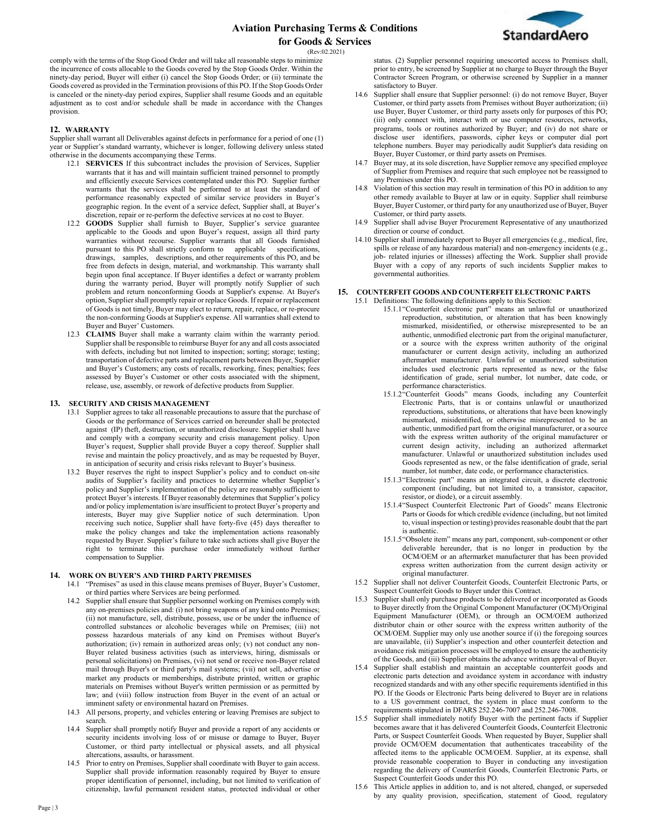

comply with the terms of the Stop Good Order and will take all reasonable steps to minimize the incurrence of costs allocable to the Goods covered by the Stop Goods Order. Within the ninety-day period, Buyer will either (i) cancel the Stop Goods Order; or (ii) terminate the Goods covered as provided in the Termination provisions of this PO. If the Stop Goods Order is canceled or the ninety-day period expires, Supplier shall resume Goods and an equitable adjustment as to cost and/or schedule shall be made in accordance with the Changes provision.

#### **12. WARRANTY**

Supplier shall warrant all Deliverables against defects in performance for a period of one (1) year or Supplier's standard warranty, whichever is longer, following delivery unless stated otherwise in the documents accompanying these Terms.

- 12.1 **SERVICES** If this subcontract includes the provision of Services, Supplier warrants that it has and will maintain sufficient trained personnel to promptly and efficiently execute Services contemplated under this PO. Supplier further warrants that the services shall be performed to at least the standard of performance reasonably expected of similar service providers in Buyer's geographic region. In the event of a service defect, Supplier shall, at Buyer's discretion, repair or re-perform the defective services at no cost to Buyer.
- 12.2 **GOODS** Supplier shall furnish to Buyer, Supplier's service guarantee applicable to the Goods and upon Buyer's request, assign all third party warranties without recourse. Supplier warrants that all Goods furnished pursuant to this PO shall strictly conform to applicable specifications. pursuant to this PO shall strictly conform to applicable drawings, samples, descriptions, and other requirements of this PO, and be free from defects in design, material, and workmanship. This warranty shall begin upon final acceptance. If Buyer identifies a defect or warranty problem during the warranty period, Buyer will promptly notify Supplier of such problem and return nonconforming Goods at Supplier's expense. At Buyer's option, Supplier shall promptly repair or replace Goods. If repair or replacement of Goods is not timely, Buyer may elect to return, repair, replace, or re-procure the non-conforming Goods at Supplier's expense. All warranties shall extend to Buyer and Buyer' Customers.
- 12.3 **CLAIMS** Buyer shall make a warranty claim within the warranty period. Supplier shall be responsible to reimburse Buyer for any and all costs associated with defects, including but not limited to inspection; sorting; storage; testing; transportation of defective parts and replacement parts between Buyer, Supplier and Buyer's Customers; any costs of recalls, reworking, fines; penalties; fees assessed by Buyer's Customer or other costs associated with the shipment, release, use, assembly, or rework of defective products from Supplier.

# **13. SECURITY AND CRISIS MANAGEMENT**

- 13.1 Supplier agrees to take all reasonable precautions to assure that the purchase of Goods or the performance of Services carried on hereunder shall be protected against (IP) theft, destruction, or unauthorized disclosure. Supplier shall have and comply with a company security and crisis management policy. Upon Buyer's request, Supplier shall provide Buyer a copy thereof. Supplier shall revise and maintain the policy proactively, and as may be requested by Buyer, in anticipation of security and crisis risks relevant to Buyer's business.
- 13.2 Buyer reserves the right to inspect Supplier's policy and to conduct on-site audits of Supplier's facility and practices to determine whether Supplier's policy and Supplier's implementation of the policy are reasonably sufficient to protect Buyer's interests. If Buyer reasonably determines that Supplier's policy and/or policy implementation is/are insufficient to protect Buyer's property and interests, Buyer may give Supplier notice of such determination. Upon receiving such notice, Supplier shall have forty-five (45) days thereafter to make the policy changes and take the implementation actions reasonably requested by Buyer. Supplier's failure to take such actions shall give Buyer the right to terminate this purchase order immediately without further compensation to Supplier.

#### **14. WORK ON BUYER'S AND THIRD PARTYPREMISES**

- 14.1 "Premises" as used in this clause means premises of Buyer, Buyer's Customer, or third parties where Services are being performed.
	- 14.2 Supplier shall ensure that Supplier personnel working on Premises comply with any on-premises policies and: (i) not bring weapons of any kind onto Premises; (ii) not manufacture, sell, distribute, possess, use or be under the influence of controlled substances or alcoholic beverages while on Premises; (iii) not possess hazardous materials of any kind on Premises without Buyer's authorization; (iv) remain in authorized areas only; (v) not conduct any non-Buyer related business activities (such as interviews, hiring, dismissals or personal solicitations) on Premises, (vi) not send or receive non-Buyer related mail through Buyer's or third party's mail systems; (vii) not sell, advertise or market any products or memberships, distribute printed, written or graphic materials on Premises without Buyer's written permission or as permitted by law; and (viii) follow instruction from Buyer in the event of an actual or imminent safety or environmental hazard on Premises.
	- 14.3 All persons, property, and vehicles entering or leaving Premises are subject to search.
	- 14.4 Supplier shall promptly notify Buyer and provide a report of any accidents or security incidents involving loss of or misuse or damage to Buyer, Buyer Customer, or third party intellectual or physical assets, and all physical altercations, assaults, or harassment.
	- 14.5 Prior to entry on Premises, Supplier shall coordinate with Buyer to gain access. Supplier shall provide information reasonably required by Buyer to ensure proper identification of personnel, including, but not limited to verification of citizenship, lawful permanent resident status, protected individual or other

status. (2) Supplier personnel requiring unescorted access to Premises shall, prior to entry, be screened by Supplier at no charge to Buyer through the Buyer Contractor Screen Program, or otherwise screened by Supplier in a manner satisfactory to Buyer.

- 14.6 Supplier shall ensure that Supplier personnel: (i) do not remove Buyer, Buyer Customer, or third party assets from Premises without Buyer authorization; (ii) use Buyer, Buyer Customer, or third party assets only for purposes of this PO; (iii) only connect with, interact with or use computer resources, networks, programs, tools or routines authorized by Buyer; and (iv) do not share or disclose user identifiers, passwords, cipher keys or computer dial port telephone numbers. Buyer may periodically audit Supplier's data residing on Buyer, Buyer Customer, or third party assets on Premises.
- 14.7 Buyer may, at its sole discretion, have Supplier remove any specified employee of Supplier from Premises and require that such employee not be reassigned to any Premises under this PO.
- Violation of this section may result in termination of this PO in addition to any other remedy available to Buyer at law or in equity. Supplier shall reimburse Buyer, Buyer Customer, or third party for any unauthorized use of Buyer, Buyer Customer, or third party assets.
- 14.9 Supplier shall advise Buyer Procurement Representative of any unauthorized direction or course of conduct.
- 14.10 Supplier shall immediately report to Buyer all emergencies (e.g., medical, fire, spills or release of any hazardous material) and non-emergency incidents (e.g., job- related injuries or illnesses) affecting the Work. Supplier shall provide Buyer with a copy of any reports of such incidents Supplier makes to governmental authorities.

# **15. COUNTERFEIT GOODS AND COUNTERFEIT ELECTRONIC PARTS**

- 15.1 Definitions: The following definitions apply to this Section:
	- 15.1.1"Counterfeit electronic part" means an unlawful or unauthorized reproduction, substitution, or alteration that has been knowingly mismarked, misidentified, or otherwise misrepresented to be an authentic, unmodified electronic part from the original manufacturer, or a source with the express written authority of the original manufacturer or current design activity, including an authorized aftermarket manufacturer. Unlawful or unauthorized substitution includes used electronic parts represented as new, or the false identification of grade, serial number, lot number, date code, or performance characteristics.
	- 15.1.2"Counterfeit Goods" means Goods, including any Counterfeit Electronic Parts, that is or contains unlawful or unauthorized reproductions, substitutions, or alterations that have been knowingly mismarked, misidentified, or otherwise misrepresented to be an authentic, unmodified part from the original manufacturer, or a source with the express written authority of the original manufacturer or current design activity, including an authorized aftermarket manufacturer. Unlawful or unauthorized substitution includes used Goods represented as new, or the false identification of grade, serial number, lot number, date code, or performance characteristics.
	- 15.1.3"Electronic part" means an integrated circuit, a discrete electronic component (including, but not limited to, a transistor, capacitor, resistor, or diode), or a circuit assembly.
	- 15.1.4"Suspect Counterfeit Electronic Part of Goods" means Electronic Parts or Goods for which credible evidence (including, but not limited to, visual inspection or testing) provides reasonable doubt that the part is authentic.
	- 15.1.5"Obsolete item" means any part, component, sub-component or other deliverable hereunder, that is no longer in production by the OCM/OEM or an aftermarket manufacturer that has been provided express written authorization from the current design activity or original manufacturer.
- 15.2 Supplier shall not deliver Counterfeit Goods, Counterfeit Electronic Parts, or Suspect Counterfeit Goods to Buyer under this Contract.
- 15.3 Supplier shall only purchase products to be delivered or incorporated as Goods to Buyer directly from the Original Component Manufacturer (OCM)/Original Equipment Manufacturer (OEM), or through an OCM/OEM authorized distributor chain or other source with the express written authority of the OCM/OEM. Supplier may only use another source if (i) the foregoing sources are unavailable, (ii) Supplier's inspection and other counterfeit detection and avoidance risk mitigation processes will be employed to ensure the authenticity of the Goods, and (iii) Supplier obtains the advance written approval of Buyer.
- 15.4 Supplier shall establish and maintain an acceptable counterfeit goods and electronic parts detection and avoidance system in accordance with industry recognized standards and with any other specific requirements identified in this PO. If the Goods or Electronic Parts being delivered to Buyer are in relations to a US government contract, the system in place must conform to the requirements stipulated in DFARS 252.246-7007 and 252.246-7008.
- 15.5 Supplier shall immediately notify Buyer with the pertinent facts if Supplier becomes aware that it has delivered Counterfeit Goods, Counterfeit Electronic Parts, or Suspect Counterfeit Goods. When requested by Buyer, Supplier shall provide OCM/OEM documentation that authenticates traceability of the affected items to the applicable OCM/OEM. Supplier, at its expense, shall provide reasonable cooperation to Buyer in conducting any investigation regarding the delivery of Counterfeit Goods, Counterfeit Electronic Parts, or Suspect Counterfeit Goods under this PO.
- 15.6 This Article applies in addition to, and is not altered, changed, or superseded by any quality provision, specification, statement of Good, regulatory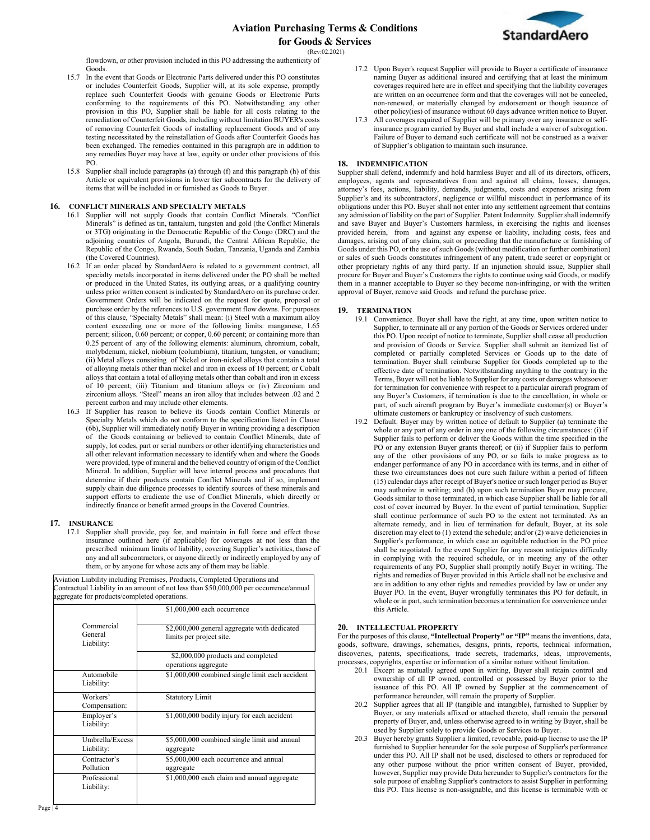

flowdown, or other provision included in this PO addressing the authenticity of Goods.

- 15.7 In the event that Goods or Electronic Parts delivered under this PO constitutes or includes Counterfeit Goods, Supplier will, at its sole expense, promptly replace such Counterfeit Goods with genuine Goods or Electronic Parts conforming to the requirements of this PO. Notwithstanding any other provision in this PO, Supplier shall be liable for all costs relating to the remediation of Counterfeit Goods, including without limitation BUYER's costs of removing Counterfeit Goods of installing replacement Goods and of any testing necessitated by the reinstallation of Goods after Counterfeit Goods has been exchanged. The remedies contained in this paragraph are in addition to any remedies Buyer may have at law, equity or under other provisions of this PO.
- 15.8 Supplier shall include paragraphs (a) through (f) and this paragraph (h) of this Article or equivalent provisions in lower tier subcontracts for the delivery of items that will be included in or furnished as Goods to Buyer.

# **16. CONFLICT MINERALS AND SPECIALTY METALS**

- 16.1 Supplier will not supply Goods that contain Conflict Minerals. "Conflict Minerals" is defined as tin, tantalum, tungsten and gold (the Conflict Minerals or 3TG) originating in the Democratic Republic of the Congo (DRC) and the adjoining countries of Angola, Burundi, the Central African Republic, the Republic of the Congo, Rwanda, South Sudan, Tanzania, Uganda and Zambia (the Covered Countries).
- 16.2 If an order placed by StandardAero is related to a government contract, all specialty metals incorporated in items delivered under the PO shall be melted or produced in the United States, its outlying areas, or a qualifying country unless prior written consent is indicated by StandardAero on its purchase order. Government Orders will be indicated on the request for quote, proposal or purchase order by the references to U.S. government flow downs. For purposes of this clause, "Specialty Metals" shall mean: (i) Steel with a maximum alloy content exceeding one or more of the following limits: manganese, 1.65 percent; silicon, 0.60 percent; or copper, 0.60 percent; or containing more than 0.25 percent of any of the following elements: aluminum, chromium, cobalt, molybdenum, nickel, niobium (columbium), titanium, tungsten, or vanadium; (ii) Metal alloys consisting of Nickel or iron-nickel alloys that contain a total of alloying metals other than nickel and iron in excess of 10 percent; or Cobalt alloys that contain a total of alloying metals other than cobalt and iron in excess of 10 percent; (iii) Titanium and titanium alloys or (iv) Zirconium and zirconium alloys. "Steel" means an iron alloy that includes between .02 and 2 percent carbon and may include other elements.
- 16.3 If Supplier has reason to believe its Goods contain Conflict Minerals or Specialty Metals which do not conform to the specification listed in Clause (6b), Supplier will immediately notify Buyer in writing providing a description of the Goods containing or believed to contain Conflict Minerals, date of supply, lot codes, part or serial numbers or other identifying characteristics and all other relevant information necessary to identify when and where the Goods were provided, type of mineral and the believed country of origin of the Conflict Mineral. In addition, Supplier will have internal process and procedures that determine if their products contain Conflict Minerals and if so, implement supply chain due diligence processes to identify sources of these minerals and support efforts to eradicate the use of Conflict Minerals, which directly or indirectly finance or benefit armed groups in the Covered Countries.

#### **17. INSURANCE**

17.1 Supplier shall provide, pay for, and maintain in full force and effect those insurance outlined here (if applicable) for coverages at not less than the prescribed minimum limits of liability, covering Supplier's activities, those of any and all subcontractors, or anyone directly or indirectly employed by any of them, or by anyone for whose acts any of them may be liable.

Aviation Liability including Premises, Products, Completed Operations and Contractual Liability in an amount of not less than \$50,000,000 per occurrence/annual aggregate for products/completed operations.

|                                     | \$1,000,000 each occurrence                                              |
|-------------------------------------|--------------------------------------------------------------------------|
| Commercial<br>General<br>Liability: | \$2,000,000 general aggregate with dedicated<br>limits per project site. |
|                                     | \$2,000,000 products and completed<br>operations aggregate               |
| Automobile<br>Liability:            | \$1,000,000 combined single limit each accident                          |
| Workers'<br>Compensation:           | <b>Statutory Limit</b>                                                   |
| Employer's<br>Liability:            | \$1,000,000 bodily injury for each accident                              |
| Umbrella/Excess<br>Liability:       | \$5,000,000 combined single limit and annual<br>aggregate                |
| Contractor's<br>Pollution           | \$5,000,000 each occurrence and annual<br>aggregate                      |
| Professional<br>Liability:          | \$1,000,000 each claim and annual aggregate                              |

- 17.2 Upon Buyer's request Supplier will provide to Buyer a certificate of insurance naming Buyer as additional insured and certifying that at least the minimum coverages required here are in effect and specifying that the liability coverages are written on an occurrence form and that the coverages will not be canceled, non-renewed, or materially changed by endorsement or though issuance of other policy(ies) of insurance without 60 days advance written notice to Buyer.
- 17.3 All coverages required of Supplier will be primary over any insurance or selfinsurance program carried by Buyer and shall include a waiver of subrogation. Failure of Buyer to demand such certificate will not be construed as a waiver of Supplier's obligation to maintain such insurance.

#### **18. INDEMNIFICATION**

Supplier shall defend, indemnify and hold harmless Buyer and all of its directors, officers, employees, agents and representatives from and against all claims, losses, damages, attorney's fees, actions, liability, demands, judgments, costs and expenses arising from Supplier's and its subcontractors', negligence or willful misconduct in performance of its obligations under this PO. Buyer shall not enter into any settlement agreement that contains any admission of liability on the part of Supplier. Patent Indemnity. Supplier shall indemnify and save Buyer and Buyer's Customers harmless, in exercising the rights and licenses provided herein, from and against any expense or liability, including costs, fees and damages, arising out of any claim, suit or proceeding that the manufacture or furnishing of Goods under this PO, or the use of such Goods (without modification or further combination) or sales of such Goods constitutes infringement of any patent, trade secret or copyright or other proprietary rights of any third party. If an injunction should issue, Supplier shall procure for Buyer and Buyer's Customers the rights to continue using said Goods, or modify them in a manner acceptable to Buyer so they become non-infringing, or with the written approval of Buyer, remove said Goods and refund the purchase price.

#### **19. TERMINATION**

- 19.1 Convenience. Buyer shall have the right, at any time, upon written notice to Supplier, to terminate all or any portion of the Goods or Services ordered under this PO. Upon receipt of notice to terminate, Supplier shall cease all production and provision of Goods or Service. Supplier shall submit an itemized list of completed or partially completed Services or Goods up to the date of termination. Buyer shall reimburse Supplier for Goods completed up to the effective date of termination. Notwithstanding anything to the contrary in the Terms, Buyer will not be liable to Supplier for any costs or damages whatsoever for termination for convenience with respect to a particular aircraft program of any Buyer's Customers, if termination is due to the cancellation, in whole or part, of such aircraft program by Buyer's immediate customer(s) or Buyer's ultimate customers or bankruptcy or insolvency of such customers.
- 19.2 Default. Buyer may by written notice of default to Supplier (a) terminate the whole or any part of any order in any one of the following circumstances: (i) if Supplier fails to perform or deliver the Goods within the time specified in the PO or any extension Buyer grants thereof; or (ii) if Supplier fails to perform any of the other provisions of any PO, or so fails to make progress as to endanger performance of any PO in accordance with its terms, and in either of these two circumstances does not cure such failure within a period of fifteen (15) calendar days after receipt of Buyer's notice or such longer period as Buyer may authorize in writing; and (b) upon such termination Buyer may procure, Goods similar to those terminated, in which case Supplier shall be liable for all cost of cover incurred by Buyer. In the event of partial termination, Supplier shall continue performance of such PO to the extent not terminated. As an alternate remedy, and in lieu of termination for default, Buyer, at its sole discretion may elect to (1) extend the schedule; and/or (2) waive deficiencies in Supplier's performance, in which case an equitable reduction in the PO price shall be negotiated. In the event Supplier for any reason anticipates difficulty in complying with the required schedule, or in meeting any of the other requirements of any PO, Supplier shall promptly notify Buyer in writing. The rights and remedies of Buyer provided in this Article shall not be exclusive and are in addition to any other rights and remedies provided by law or under any Buyer PO. In the event, Buyer wrongfully terminates this PO for default, in whole or in part, such termination becomes a termination for convenience under this Article.

#### **20. INTELLECTUAL PROPERTY**

For the purposes of this clause, **"Intellectual Property" or "IP"** means the inventions, data, goods, software, drawings, schematics, designs, prints, reports, technical information, discoveries, patents, specifications, trade secrets, trademarks, ideas, improvements, processes, copyrights, expertise or information of a similar nature without limitation.

- 20.1 Except as mutually agreed upon in writing, Buyer shall retain control and ownership of all IP owned, controlled or possessed by Buyer prior to the issuance of this PO. All IP owned by Supplier at the commencement of performance hereunder, will remain the property of Supplier.
- 20.2 Supplier agrees that all IP (tangible and intangible), furnished to Supplier by Buyer, or any materials affixed or attached thereto, shall remain the personal property of Buyer, and, unless otherwise agreed to in writing by Buyer, shall be used by Supplier solely to provide Goods or Services to Buyer.
- 20.3 Buyer hereby grants Supplier a limited, revocable, paid-up license to use the IP furnished to Supplier hereunder for the sole purpose of Supplier's performance under this PO. All IP shall not be used, disclosed to others or reproduced for any other purpose without the prior written consent of Buyer, provided, however, Supplier may provide Data hereunder to Supplier's contractors for the sole purpose of enabling Supplier's contractors to assist Supplier in performing this PO. This license is non-assignable, and this license is terminable with or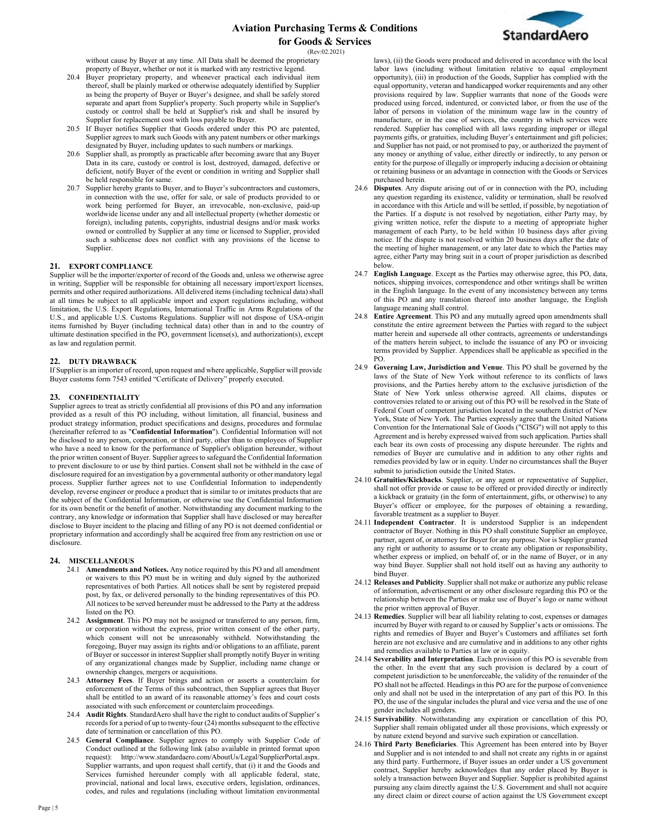

without cause by Buyer at any time. All Data shall be deemed the proprietary property of Buyer, whether or not it is marked with any restrictive legend.

- 20.4 Buyer proprietary property, and whenever practical each individual item thereof, shall be plainly marked or otherwise adequately identified by Supplier as being the property of Buyer or Buyer's designee, and shall be safely stored separate and apart from Supplier's property. Such property while in Supplier's custody or control shall be held at Supplier's risk and shall be insured by Supplier for replacement cost with loss payable to Buyer.
- 20.5 If Buyer notifies Supplier that Goods ordered under this PO are patented, Supplier agrees to mark such Goods with any patent numbers or other markings designated by Buyer, including updates to such numbers or markings.
- 20.6 Supplier shall, as promptly as practicable after becoming aware that any Buyer Data in its care, custody or control is lost, destroyed, damaged, defective or deficient, notify Buyer of the event or condition in writing and Supplier shall be held responsible for same.
- 20.7 Supplier hereby grants to Buyer, and to Buyer's subcontractors and customers, in connection with the use, offer for sale, or sale of products provided to or work being performed for Buyer, an irrevocable, non-exclusive, paid-up worldwide license under any and all intellectual property (whether domestic or foreign), including patents, copyrights, industrial designs and/or mask works owned or controlled by Supplier at any time or licensed to Supplier, provided such a sublicense does not conflict with any provisions of the license to Supplier.

# **21. EXPORT COMPLIANCE**

Supplier will be the importer/exporter of record of the Goods and, unless we otherwise agree in writing, Supplier will be responsible for obtaining all necessary import/export licenses, permits and other required authorizations. All delivered items (including technical data) shall at all times be subject to all applicable import and export regulations including, without limitation, the U.S. Export Regulations, International Traffic in Arms Regulations of the U.S., and applicable U.S. Customs Regulations. Supplier will not dispose of USA-origin items furnished by Buyer (including technical data) other than in and to the country of ultimate destination specified in the PO, government license(s), and authorization(s), except as law and regulation permit.

# **22. DUTY DRAWBACK**

If Supplier is an importer of record, upon request and where applicable, Supplier will provide Buyer customs form 7543 entitled "Certificate of Delivery" properly executed.

# **23. CONFIDENTIALITY**

Supplier agrees to treat as strictly confidential all provisions of this PO and any information provided as a result of this PO including, without limitation, all financial, business and product strategy information, product specifications and designs, procedures and formulae (hereinafter referred to as "**Confidential Information**"). Confidential Information will not be disclosed to any person, corporation, or third party, other than to employees of Supplier who have a need to know for the performance of Supplier's obligation hereunder, without the prior written consent of Buyer. Supplier agrees to safeguard the Confidential Information to prevent disclosure to or use by third parties. Consent shall not be withheld in the case of disclosure required for an investigation by a governmental authority or other mandatory legal process. Supplier further agrees not to use Confidential Information to independently develop, reverse engineer or produce a product that is similar to or imitates products that are the subject of the Confidential Information, or otherwise use the Confidential Information for its own benefit or the benefit of another. Notwithstanding any document marking to the contrary, any knowledge or information that Supplier shall have disclosed or may hereafter disclose to Buyer incident to the placing and filling of any PO is not deemed confidential or proprietary information and accordingly shall be acquired free from any restriction on use or disclosure.

# **24. MISCELLANEOUS**

- 24.1 **Amendments and Notices.** Any notice required by this PO and all amendment or waivers to this PO must be in writing and duly signed by the authorized representatives of both Parties. All notices shall be sent by registered prepaid post, by fax, or delivered personally to the binding representatives of this PO. All notices to be served hereunder must be addressed to the Party at the address listed on the PO.
- 24.2 **Assignment**. This PO may not be assigned or transferred to any person, firm, or corporation without the express, prior written consent of the other party, which consent will not be unreasonably withheld. Notwithstanding the foregoing, Buyer may assign its rights and/or obligations to an affiliate, parent of Buyer or successor in interest Supplier shall promptly notify Buyer in writing of any organizational changes made by Supplier, including name change or ownership changes, mergers or acquisitions.
- 24.3 **Attorney Fees**. If Buyer brings and action or asserts a counterclaim for enforcement of the Terms of this subcontract, then Supplier agrees that Buyer shall be entitled to an award of its reasonable attorney's fees and court costs associated with such enforcement or counterclaim proceedings.
- 24.4 **Audit Rights**. StandardAero shall have the right to conduct audits of Supplier's records for a period of up to twenty-four (24) months subsequent to the effective date of termination or cancellation of this PO.
- 24.5 **General Compliance**. Supplier agrees to comply with Supplier Code of Conduct outlined at the following link (also available in printed format upon request): [http://www.standardaero.com/AboutUs/Legal/SupplierPortal.aspx.](http://www.standardaero.com/AboutUs/Legal/SupplierPortal.aspx) Supplier warrants, and upon request shall certify, that (i) it and the Goods and Services furnished hereunder comply with all applicable federal, state, provincial, national and local laws, executive orders, legislation, ordinances, codes, and rules and regulations (including without limitation environmental

laws), (ii) the Goods were produced and delivered in accordance with the local labor laws (including without limitation relative to equal employment opportunity), (iii) in production of the Goods, Supplier has complied with the equal opportunity, veteran and handicapped worker requirements and any other provisions required by law. Supplier warrants that none of the Goods were produced using forced, indentured, or convicted labor, or from the use of the labor of persons in violation of the minimum wage law in the country of manufacture, or in the case of services, the country in which services were rendered. Supplier has complied with all laws regarding improper or illegal payments gifts, or gratuities, including Buyer's entertainment and gift policies; and Supplier has not paid, or not promised to pay, or authorized the payment of any money or anything of value, either directly or indirectly, to any person or entity for the purpose of illegally or improperly inducing a decision or obtaining or retaining business or an advantage in connection with the Goods or Services purchased herein.

- 24.6 **Disputes**. Any dispute arising out of or in connection with the PO, including any question regarding its existence, validity or termination, shall be resolved in accordance with this Article and will be settled, if possible, by negotiation of the Parties. If a dispute is not resolved by negotiation, either Party may, by giving written notice, refer the dispute to a meeting of appropriate higher management of each Party, to be held within 10 business days after giving notice. If the dispute is not resolved within 20 business days after the date of the meeting of higher management, or any later date to which the Parties may agree, either Party may bring suit in a court of proper jurisdiction as described below.
- 24.7 **English Language**. Except as the Parties may otherwise agree, this PO, data, notices, shipping invoices, correspondence and other writings shall be written in the English language. In the event of any inconsistency between any terms of this PO and any translation thereof into another language, the English language meaning shall control.
- 24.8 **Entire Agreement**. This PO and any mutually agreed upon amendments shall constitute the entire agreement between the Parties with regard to the subject matter herein and supersede all other contracts, agreements or understandings of the matters herein subject, to include the issuance of any PO or invoicing terms provided by Supplier. Appendices shall be applicable as specified in the PO.
- 24.9 **Governing Law, Jurisdiction and Venue**. This PO shall be governed by the laws of the State of New York without reference to its conflicts of laws provisions, and the Parties hereby attorn to the exclusive jurisdiction of the State of New York unless otherwise agreed. All claims, disputes or controversies related to or arising out of this PO will be resolved in the State of Federal Court of competent jurisdiction located in the southern district of New York, State of New York. The Parties expressly agree that the United Nations Convention for the International Sale of Goods ("CISG") will not apply to this Agreement and is hereby expressed waived from such application. Parties shall each bear its own costs of processing any dispute hereunder. The rights and remedies of Buyer are cumulative and in addition to any other rights and remedies provided by law or in equity. Under no circumstances shall the Buyer submit to jurisdiction outside the United States.
- 24.10 **Gratuities/Kickbacks**. Supplier, or any agent or representative of Supplier, shall not offer provide or cause to be offered or provided directly or indirectly a kickback or gratuity (in the form of entertainment, gifts, or otherwise) to any Buyer's officer or employee, for the purposes of obtaining a rewarding, favorable treatment as a supplier to Buyer.
- 24.11 **Independent Contractor**. It is understood Supplier is an independent contractor of Buyer. Nothing in this PO shall constitute Supplier an employee, partner, agent of, or attorney for Buyer for any purpose. Nor is Supplier granted any right or authority to assume or to create any obligation or responsibility, whether express or implied, on behalf of, or in the name of Buyer, or in any way bind Buyer. Supplier shall not hold itself out as having any authority to bind Buyer.
- 24.12 **Releases and Publicity**. Supplier shall not make or authorize any public release of information, advertisement or any other disclosure regarding this PO or the relationship between the Parties or make use of Buyer's logo or name without the prior written approval of Buyer.
- 24.13 **Remedies**. Supplier will bear all liability relating to cost, expenses or damages incurred by Buyer with regard to or caused by Supplier's acts or omissions. The rights and remedies of Buyer and Buyer's Customers and affiliates set forth herein are not exclusive and are cumulative and in additions to any other rights and remedies available to Parties at law or in equity.
- 24.14 **Severability and Interpretation**. Each provision of this PO is severable from the other. In the event that any such provision is declared by a court of competent jurisdiction to be unenforceable, the validity of the remainder of the PO shall not be affected. Headings in this PO are for the purpose of convenience only and shall not be used in the interpretation of any part of this PO. In this PO, the use of the singular includes the plural and vice versa and the use of one gender includes all genders.
- 24.15 **Survivability**. Notwithstanding any expiration or cancellation of this PO, Supplier shall remain obligated under all those provisions, which expressly or by nature extend beyond and survive such expiration or cancellation.
- 24.16 **Third Party Beneficiaries**. This Agreement has been entered into by Buyer and Supplier and is not intended to and shall not create any rights in or against any third party. Furthermore, if Buyer issues an order under a US government contract, Supplier hereby acknowledges that any order placed by Buyer is solely a transaction between Buyer and Supplier. Supplier is prohibited against pursuing any claim directly against the U.S. Government and shall not acquire any direct claim or direct course of action against the US Government except